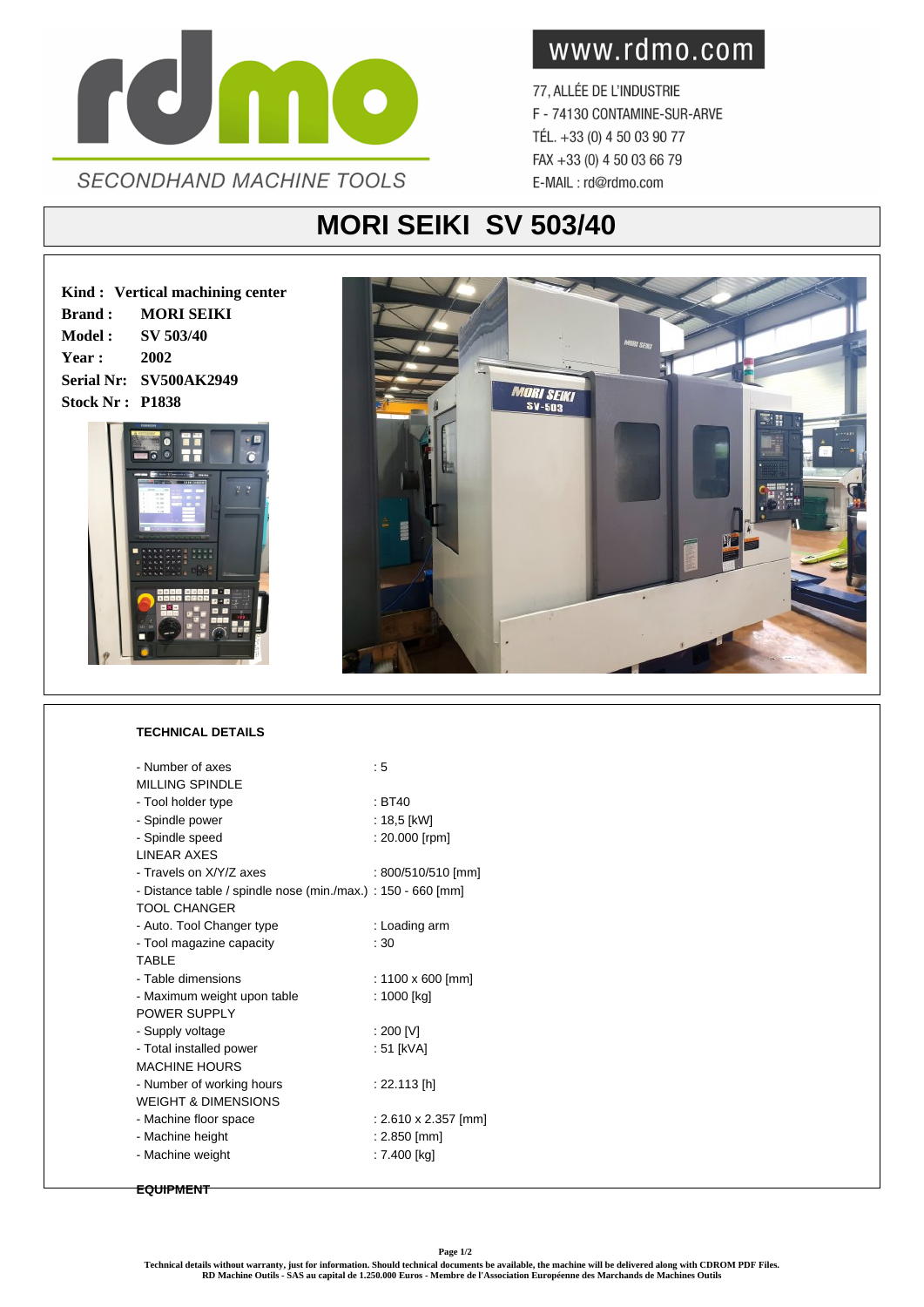

www.rdmo.com

77, ALLÉE DE L'INDUSTRIE F - 74130 CONTAMINE-SUR-ARVE TÉL. +33 (0) 4 50 03 90 77 FAX +33 (0) 4 50 03 66 79 E-MAIL: rd@rdmo.com

## **MORI SEIKI SV 503/40**

**Kind : Vertical machining center Brand : MORI SEIKI Model : SV 503/40 Year : 2002 Serial Nr: SV500AK2949 Stock Nr : P1838**





## **TECHNICAL DETAILS**

| - Number of axes                                             | :5                   |
|--------------------------------------------------------------|----------------------|
| <b>MILLING SPINDLE</b>                                       |                      |
| - Tool holder type                                           | $\pm$ BT40           |
| - Spindle power                                              | : 18,5 [kW]          |
| - Spindle speed                                              | : 20.000 [rpm]       |
| <b>LINEAR AXES</b>                                           |                      |
| - Travels on X/Y/7 axes                                      | : 800/510/510 [mm]   |
| - Distance table / spindle nose (min./max.) : 150 - 660 [mm] |                      |
| <b>TOOL CHANGER</b>                                          |                      |
| - Auto. Tool Changer type                                    | : Loading arm        |
| - Tool magazine capacity                                     | : 30                 |
| <b>TABIF</b>                                                 |                      |
| - Table dimensions                                           | : 1100 x 600 [mm]    |
| - Maximum weight upon table                                  | : 1000 [kg]          |
| POWER SUPPLY                                                 |                      |
| - Supply voltage                                             | : 200 [V]            |
| - Total installed power                                      | : 51 [kVA]           |
| <b>MACHINE HOURS</b>                                         |                      |
| - Number of working hours                                    | : 22.113 [h]         |
| <b>WEIGHT &amp; DIMENSIONS</b>                               |                      |
| - Machine floor space                                        | : 2.610 x 2.357 [mm] |
| - Machine height                                             | : 2.850 [mm]         |
| - Machine weight                                             | : 7.400 [kg]         |
|                                                              |                      |

## **EQUIPMENT**